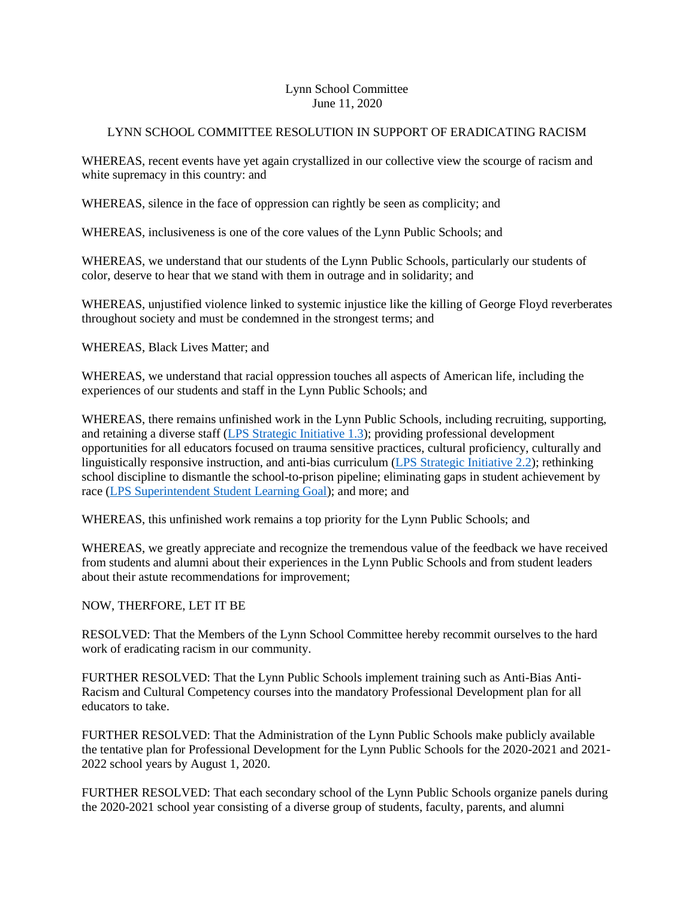## Lynn School Committee June 11, 2020

## LYNN SCHOOL COMMITTEE RESOLUTION IN SUPPORT OF ERADICATING RACISM

WHEREAS, recent events have yet again crystallized in our collective view the scourge of racism and white supremacy in this country: and

WHEREAS, silence in the face of oppression can rightly be seen as complicity; and

WHEREAS, inclusiveness is one of the core values of the Lynn Public Schools; and

WHEREAS, we understand that our students of the Lynn Public Schools, particularly our students of color, deserve to hear that we stand with them in outrage and in solidarity; and

WHEREAS, unjustified violence linked to systemic injustice like the killing of George Floyd reverberates throughout society and must be condemned in the strongest terms; and

WHEREAS, Black Lives Matter; and

WHEREAS, we understand that racial oppression touches all aspects of American life, including the experiences of our students and staff in the Lynn Public Schools; and

WHEREAS, there remains unfinished work in the Lynn Public Schools, including recruiting, supporting, and retaining a diverse staff (LPS [Strategic Initiative 1.3\)](http://www.lynnschools.org/documents/superintendent/reports/lps_district_strategic_plan_october_2019.pdf); providing professional development opportunities for all educators focused on trauma sensitive practices, cultural proficiency, culturally and linguistically responsive instruction, and anti-bias curriculum [\(LPS Strategic Initiative 2.2\)](http://www.lynnschools.org/documents/superintendent/reports/lps_district_strategic_plan_october_2019.pdf); rethinking school discipline to dismantle the school-to-prison pipeline; eliminating gaps in student achievement by race [\(LPS Superintendent Student Learning Goal\)](http://www.lynnschools.org/district/superintendent.shtml#gpm1_8); and more; and

WHEREAS, this unfinished work remains a top priority for the Lynn Public Schools; and

WHEREAS, we greatly appreciate and recognize the tremendous value of the feedback we have received from students and alumni about their experiences in the Lynn Public Schools and from student leaders about their astute recommendations for improvement;

## NOW, THERFORE, LET IT BE

RESOLVED: That the Members of the Lynn School Committee hereby recommit ourselves to the hard work of eradicating racism in our community.

FURTHER RESOLVED: That the Lynn Public Schools implement training such as Anti-Bias Anti-Racism and Cultural Competency courses into the mandatory Professional Development plan for all educators to take.

FURTHER RESOLVED: That the Administration of the Lynn Public Schools make publicly available the tentative plan for Professional Development for the Lynn Public Schools for the 2020-2021 and 2021- 2022 school years by August 1, 2020.

FURTHER RESOLVED: That each secondary school of the Lynn Public Schools organize panels during the 2020-2021 school year consisting of a diverse group of students, faculty, parents, and alumni